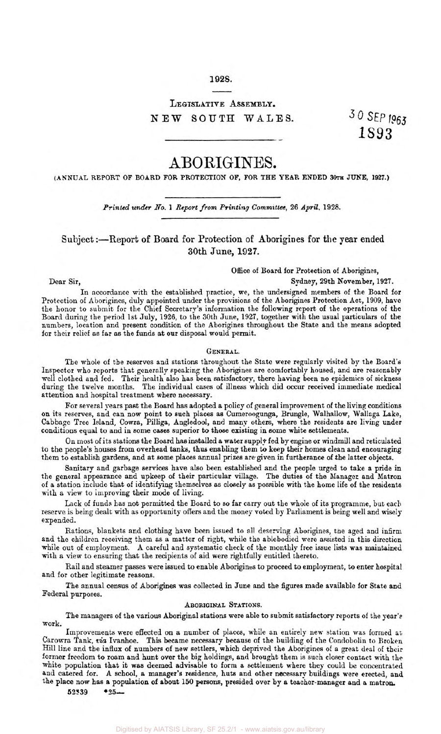## **1928.**

## **LEGISLATIVE ASSEMBLY. NEW** SOUTH **WALES.**

**1893** 

# A BORIGINES.

**(ANNUAL REPORT OF BOARD FOR PROTECTION OF, FOR THE YEAR ENDED 30th JUNE, 1927.)** 

*Printed under No.* **1** *Report from Printing Committee,* **26** *April,* **1928.** 

Subject :- Report of Board for Protection of Aborigines for the year ended **30th June, 1927.** 

## Office of Board for Protection of Aborigines,

Dear Sir, Sydney, 29th November, **1927.** 

In accordance with the established practice, we, the undersigned members of the Board for Protection of Aborigines, duly appointed under the provisions of the Aborigines Protection Act, 1909, have the honor to submit for the Chief Secretary's information the following report of the operations of the Board during the period 1st July, **1926,** to the 30th June, **1927,** together with the usual particulars of the numbers, location and present condition of the Aborigines throughout the State and the means adopted for their relief as far as the funds at our disposal would permit.

## GENERAL.

The whole of the reserves and stations throughout the State were regularly visited by the Board's Inspector who reports that generally speaking the Aborigines are comfortably housed, and are reasonably well clothed and fed. Their health also has been satisfactory, there having been no epidemics of sickness during the twelve months. The individual *cases* **of** illness which did occur received immediate medical attention and hospital treatment where necessary.

For several years past the Board has adopted a policy of general improvement of the living conditions on its reserves, and can now point to such places as Cumeroogunga, Brungle, Walhallow, Wallaga Lake, Cabbage Tree Island, Cowra, Pilliga, Angledool, and many others, where the residents are living under conditions equal to and in some cases superior to those existing in some white settlements.

On most of its stations the Board has installed a water suppIy fed by engine or windmill and reticulated to the people's houses from overhead **tanks,** thus enabling them *to* keep their homes clean and encouraging them to establish gardens, and at some places annual prizes are given in furtherance of the latter objects.

Sanitary and garbage services have also been established and the people urged to take a pride in the general appearance and upkeep of their particular village. The duties of the Manager and Matron of a station include that of identifying themselves as closely as possible with the home life of the residents with a view to improving their mode of living.

Lack of funds has not permitted the Board to so far carry out the whole of its programme, but each reserve is being dealt with as opportunity offers and the money voted by Parliament is being well and wisely expended.

Rations, blankets and clothing have been issued to **all** deserving Aborigines, the aged and infirm and the children receiving them as a matter of right, while the ablebodied were assisted in this direction while out of employment. A careful and systematic check of the monthly free issue lists was maintained with a view to ensuring that the recipients of aid were rightfully entitled thereto.

Rail and steamer passes were issued to enable Aborigines to proceed to employment, **to** enter hospital and for other legitimate reasons.

The annual census of Aborigines was collected in June and the figures made available for State and Federal purposes.

#### ABORIGINAL STATIONS.

The managers of the various Aboriginal stations were able to submit satisfactory reports of the year's work.

Improvements were effected on a number of places, while an entirely new station was formed **at**  Carowra Tank, *via* Ivanhoe. This became necessary because of the building of the Condobolin to **Broken**  Hill line and the influx of numbers of new settlers, which deprived the Aborigines of a great deal of their former freedom to roam and hunt over the big holdings, and brought them is such closer contact with the white population that it was deemed advisable to form a settlement where they could be concentrated and catered for. A school, **a** manager's residence, **huts** and other necessary buildings were erected, and the place now has **a** population of about **150 persons,** presided over by **a** teacher-manager and a matron.

**52339 \*25-**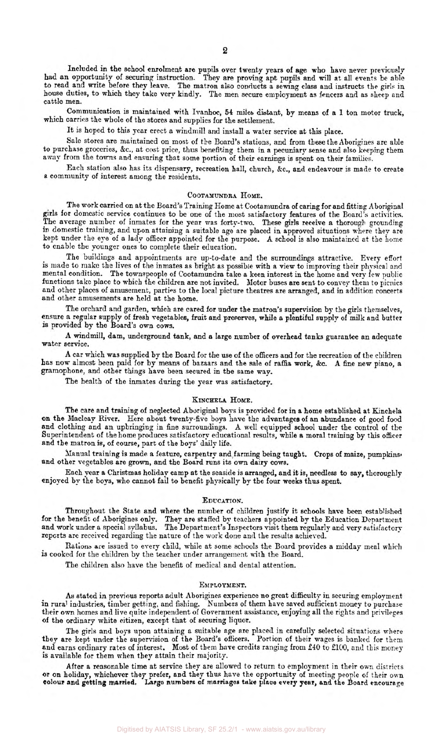Included in the school enrolment are pupils over twenty years of age who have never previously had an opportunity of securing instruction. They **are** proving apt pupils and will at all events be able to read and write before they leave. The matron also conducts a sewing class and instructs the girls in house duties, to which they take very **kindly.** The men secure employment **as** fencers and as sheep and cattle men.

Communication is maintained with Ivanhoe, **54 miles** distant, by means of a I ton motor truck, which carries the whole of the stores and supplies for the settlement.

It is hoped to this year erect a windmill and install a water service at this place.

Sale stores are maintained on most of the Board's stations, and from these the Aborigines are able to purchase groceries, &c., at cost price, thus benefiting them in a pecuniary sense and also keeping them away from the towns and ensuring that some portion of their earnings is spent on their families.

Each station also has its dispensary, recreation hall, church, &c., and endeavour is made to create a community of interest among the residents.

## **COOTAMUNDRA HOME.**

The work carried on at the Board's Training Home at Cootamundra of caring for and fitting Aboriginal girls for domestic service continues to be one of the most satisfactory features of the Board's activities. The average number of inmates for the year was forty-two. These girls receive a thorough grounding in domestic training, and upon attaining **a** suitable age are placed in approved situations where they are kept under the eye of a lady officer appointed for the purpose. A school is also maintained at the home to enable the younger ones to complete their education.

The buildings and appointments are up-to-date and the surroundings attractive. Every effort is made to make the lives of the inmates as bright as possible with a view to improving their physical and mental condition. The townspeople of Cootamundra take a keen interest in the home and very few public functions take place to which the children are not invited. Motor buses are. sent to convey them to picnics and other places of amusement, parties to the local picture theatres are arranged, and in addition concerts and other amusements are held at the home.

The orchard and garden, which are cared for under the matron's supervision by the girls themselves, ensure a regular supply of fresh vegetables, fruit and preserves, while **a** plentiful supply of milk and butter is provided by the Board's own cows.

A windmill, dam, underground tank, and a large number of overhead **tanks** guarantee an adequate water service.

A car which was supplied by the Board for the use of the officers and for the recreation of the children has now almost been paid for by means of bazaars and the sale of raffia work, **&c.** A fine new piano, a gramophone, and other things have been secured in the same way.

The health of the inmates during the year was satisfactory.

## KINCHELA HOME.

The care and training of neglected Aboriginal boys is provided for in a home established at Kinchela **on** the Macleay River. Here about twenty-five boys have the advantages of an abundance of good food and clothing and an upbringing in fine surroundings. A well equipped school under the control of the Superintendent of the home produces satisfactory educational results, while **a** moral training by this officer and the matron is, of course, part of the boys' daily life.

Manual training is made a feature, carpentry and farming being taught. Crops of maize, pumpkins, and other vegetables are grown, and the Board runs its own dairy cows.

Each year a Christmas holiday camp at the seaside is arranged, and it *is,* needless to **say,** thoroughly enjoyed by the boys, who cannot fail to benefit physically by the four weeks thus spent.

#### EDUCATION.

Throughout the State and where the number of children justify it schools have been established for the benefit of Aborigines only. They are staffed by teachers appointed by the Education Department and work under a special syllabus. The Department's Inspectors visit them regularly and very satisfactory reports arc received regarding the nature of the work done and the results achieved.

**Rations are** issued to every child, while at some schools the Board provides a midday meal which **is** cooked for the children by the teacher under arrangement with the Board.

The children also have the benefit of medical and dental attention.

## **EMPLOYMENT.**

*As* stated in previous reports adult Aborigines experience no great difficulty in securing employment **in** rural industries, timber getting, and fishing. Numbers of them have saved sufficient money to purchase their own homes and live quite independent of Government assistance, enjoying all the rights and privileges of the ordinary white citizen, except that of securing liquor.

The **girls** and boys upon attaining a suitable age are placed in carefully selected situations where they are kept under the supervision of the Board's officers. Portion of their wages is banked for them and earns ordinary rates of interest. Most of them have credits ranging from £40 to £100, and this money is available for them when they attain their majority.

After a reasonable time at service they are allowed to return to employment in their own districts or on holiday, whichever they prefer, and they thus have the opportunity of meeting people of their own colour and getting married. Large numbers of marriages take place every year, and the Board encourage